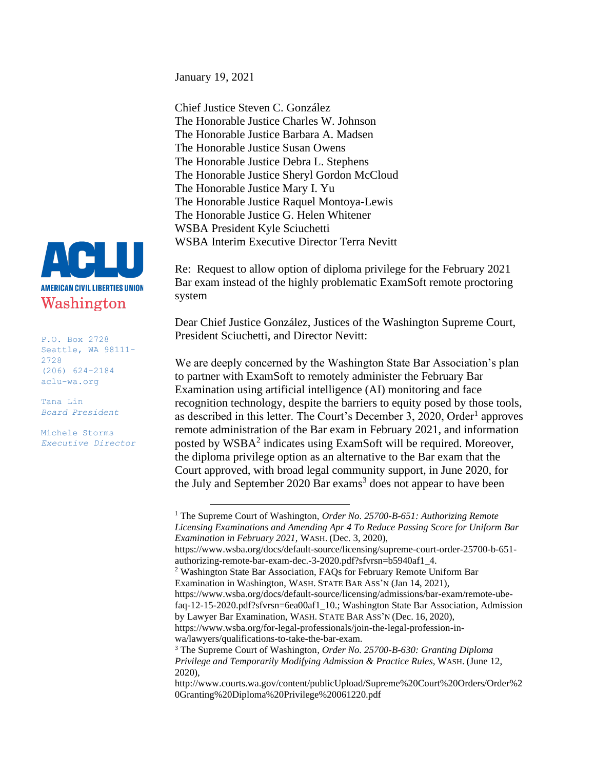January 19, 2021

Chief Justice Steven C. González The Honorable Justice Charles W. Johnson The Honorable Justice Barbara A. Madsen The Honorable Justice Susan Owens The Honorable Justice Debra L. Stephens The Honorable Justice Sheryl Gordon McCloud The Honorable Justice Mary I. Yu The Honorable Justice Raquel Montoya-Lewis The Honorable Justice G. Helen Whitener WSBA President Kyle Sciuchetti WSBA Interim Executive Director Terra Nevitt

Re: Request to allow option of diploma privilege for the February 2021 Bar exam instead of the highly problematic ExamSoft remote proctoring system

Dear Chief Justice González, Justices of the Washington Supreme Court, President Sciuchetti, and Director Nevitt:

We are deeply concerned by the Washington State Bar Association's plan to partner with ExamSoft to remotely administer the February Bar Examination using artificial intelligence (AI) monitoring and face recognition technology, despite the barriers to equity posed by those tools, as described in this letter. The Court's December 3, 2020, Order<sup>1</sup> approves remote administration of the Bar exam in February 2021, and information posted by WSBA<sup>2</sup> indicates using ExamSoft will be required. Moreover, the diploma privilege option as an alternative to the Bar exam that the Court approved, with broad legal community support, in June 2020, for the July and September 2020 Bar exams<sup>3</sup> does not appear to have been



P.O. Box 2728 Seattle, WA 98111- 2728 (206) 624-2184 aclu-wa.org

Tana Lin *Board President*

Michele Storms *Executive Director*

<sup>&</sup>lt;sup>1</sup> The Supreme Court of Washington, *Order No. 25700-B-651: Authorizing Remote Licensing Examinations and Amending Apr 4 To Reduce Passing Score for Uniform Bar Examination in February 2021,* WASH. (Dec. 3, 2020),

https://www.wsba.org/docs/default-source/licensing/supreme-court-order-25700-b-651 authorizing-remote-bar-exam-dec.-3-2020.pdf?sfvrsn=b5940af1\_4.

<sup>2</sup> Washington State Bar Association, FAQs for February Remote Uniform Bar Examination in Washington, WASH. STATE BAR ASS'N (Jan 14, 2021),

https://www.wsba.org/docs/default-source/licensing/admissions/bar-exam/remote-ubefaq-12-15-2020.pdf?sfvrsn=6ea00af1\_10.; Washington State Bar Association, Admission by Lawyer Bar Examination, WASH. STATE BAR ASS'N (Dec. 16, 2020),

https://www.wsba.org/for-legal-professionals/join-the-legal-profession-inwa/lawyers/qualifications-to-take-the-bar-exam.

<sup>3</sup> The Supreme Court of Washington*, Order No. 25700-B-630: Granting Diploma Privilege and Temporarily Modifying Admission & Practice Rules,* WASH. (June 12, 2020),

http://www.courts.wa.gov/content/publicUpload/Supreme%20Court%20Orders/Order%2 0Granting%20Diploma%20Privilege%20061220.pdf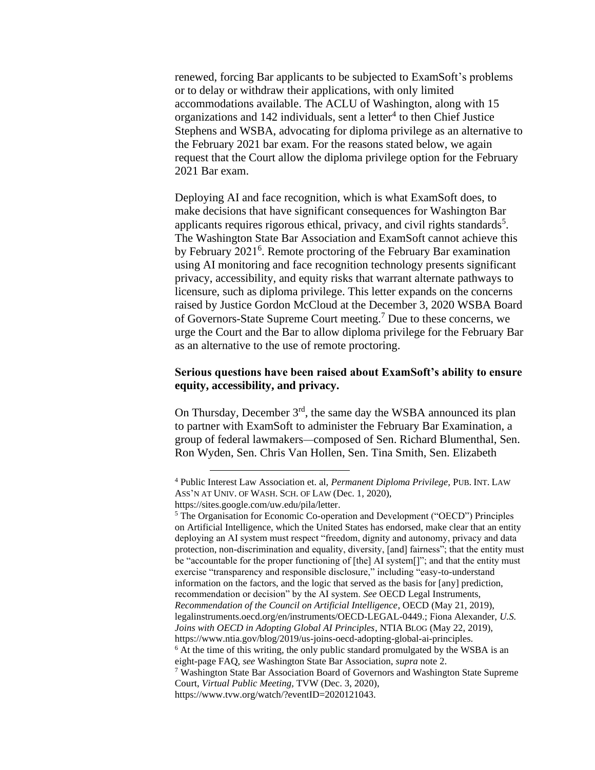renewed, forcing Bar applicants to be subjected to ExamSoft's problems or to delay or withdraw their applications, with only limited accommodations available. The ACLU of Washington, along with 15 organizations and 142 individuals, sent a letter<sup>4</sup> to then Chief Justice Stephens and WSBA, advocating for diploma privilege as an alternative to the February 2021 bar exam. For the reasons stated below, we again request that the Court allow the diploma privilege option for the February 2021 Bar exam.

Deploying AI and face recognition, which is what ExamSoft does, to make decisions that have significant consequences for Washington Bar applicants requires rigorous ethical, privacy, and civil rights standards<sup>5</sup>. The Washington State Bar Association and ExamSoft cannot achieve this by February 2021<sup>6</sup>. Remote proctoring of the February Bar examination using AI monitoring and face recognition technology presents significant privacy, accessibility, and equity risks that warrant alternate pathways to licensure, such as diploma privilege. This letter expands on the concerns raised by Justice Gordon McCloud at the December 3, 2020 WSBA Board of Governors-State Supreme Court meeting.<sup>7</sup> Due to these concerns, we urge the Court and the Bar to allow diploma privilege for the February Bar as an alternative to the use of remote proctoring.

#### **Serious questions have been raised about ExamSoft's ability to ensure equity, accessibility, and privacy.**

On Thursday, December 3<sup>rd</sup>, the same day the WSBA announced its plan to partner with ExamSoft to administer the February Bar Examination, a group of federal lawmakers—composed of Sen. Richard Blumenthal, Sen. Ron Wyden, Sen. Chris Van Hollen, Sen. Tina Smith, Sen. Elizabeth

<sup>4</sup> Public Interest Law Association et. al, *Permanent Diploma Privilege,* PUB. INT. LAW ASS'N AT UNIV. OF WASH. SCH. OF LAW (Dec. 1, 2020),

https://sites.google.com/uw.edu/pila/letter.

<sup>5</sup> The Organisation for Economic Co-operation and Development ("OECD") Principles on Artificial Intelligence, which the United States has endorsed, make clear that an entity deploying an AI system must respect "freedom, dignity and autonomy, privacy and data protection, non-discrimination and equality, diversity, [and] fairness"; that the entity must be "accountable for the proper functioning of [the] AI system[]"; and that the entity must exercise "transparency and responsible disclosure," including "easy-to-understand information on the factors, and the logic that served as the basis for [any] prediction, recommendation or decision" by the AI system. *See* OECD Legal Instruments, *Recommendation of the Council on Artificial Intelligence*, OECD (May 21, 2019), legalinstruments.oecd.org/en/instruments/OECD-LEGAL-0449.; Fiona Alexander, *U.S. Joins with OECD in Adopting Global AI Principles*, NTIA BLOG (May 22, 2019), https://www.ntia.gov/blog/2019/us-joins-oecd-adopting-global-ai-principles. <sup>6</sup> At the time of this writing, the only public standard promulgated by the WSBA is an eight-page FAQ, *see* Washington State Bar Association, *supra* note 2. <sup>7</sup> Washington State Bar Association Board of Governors and Washington State Supreme Court, *Virtual Public Meeting,* TVW (Dec. 3, 2020),

https://www.tvw.org/watch/?eventID=2020121043.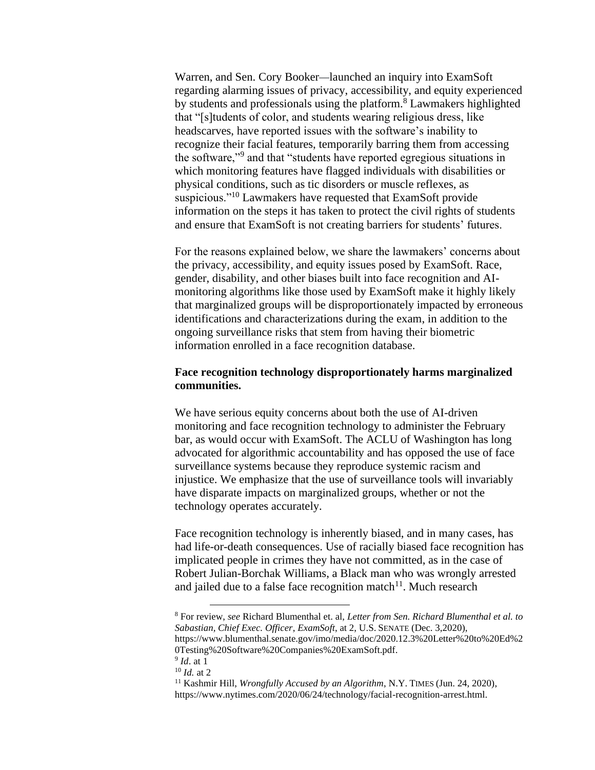Warren, and Sen. Cory Booker—launched an inquiry into ExamSoft regarding alarming issues of privacy, accessibility, and equity experienced by students and professionals using the platform.<sup>8</sup> Lawmakers highlighted that "[s]tudents of color, and students wearing religious dress, like headscarves, have reported issues with the software's inability to recognize their facial features, temporarily barring them from accessing the software,"<sup>9</sup> and that "students have reported egregious situations in which monitoring features have flagged individuals with disabilities or physical conditions, such as tic disorders or muscle reflexes, as suspicious."<sup>10</sup> Lawmakers have requested that ExamSoft provide information on the steps it has taken to protect the civil rights of students and ensure that ExamSoft is not creating barriers for students' futures.

For the reasons explained below, we share the lawmakers' concerns about the privacy, accessibility, and equity issues posed by ExamSoft. Race, gender, disability, and other biases built into face recognition and AImonitoring algorithms like those used by ExamSoft make it highly likely that marginalized groups will be disproportionately impacted by erroneous identifications and characterizations during the exam, in addition to the ongoing surveillance risks that stem from having their biometric information enrolled in a face recognition database.

## **Face recognition technology disproportionately harms marginalized communities.**

We have serious equity concerns about both the use of AI-driven monitoring and face recognition technology to administer the February bar, as would occur with ExamSoft. The ACLU of Washington has long advocated for algorithmic accountability and has opposed the use of face surveillance systems because they reproduce systemic racism and injustice. We emphasize that the use of surveillance tools will invariably have disparate impacts on marginalized groups, whether or not the technology operates accurately.

Face recognition technology is inherently biased, and in many cases, has had life-or-death consequences. Use of racially biased face recognition has implicated people in crimes they have not committed, as in the case of Robert Julian-Borchak Williams, a Black man who was wrongly arrested and jailed due to a false face recognition match<sup>11</sup>. Much research

<sup>8</sup> For review, *see* Richard Blumenthal et. al, *Letter from Sen. Richard Blumenthal et al. to Sabastian, Chief Exec. Officer*, *ExamSoft*, at 2, U.S. SENATE (Dec. 3,2020), https://www.blumenthal.senate.gov/imo/media/doc/2020.12.3%20Letter%20to%20Ed%2 0Testing%20Software%20Companies%20ExamSoft.pdf.

<sup>9</sup> *Id*. at 1

<sup>10</sup> *Id.* at 2

<sup>&</sup>lt;sup>11</sup> Kashmir Hill, *Wrongfully Accused by an Algorithm*, N.Y. TIMES (Jun. 24, 2020), https://www.nytimes.com/2020/06/24/technology/facial-recognition-arrest.html.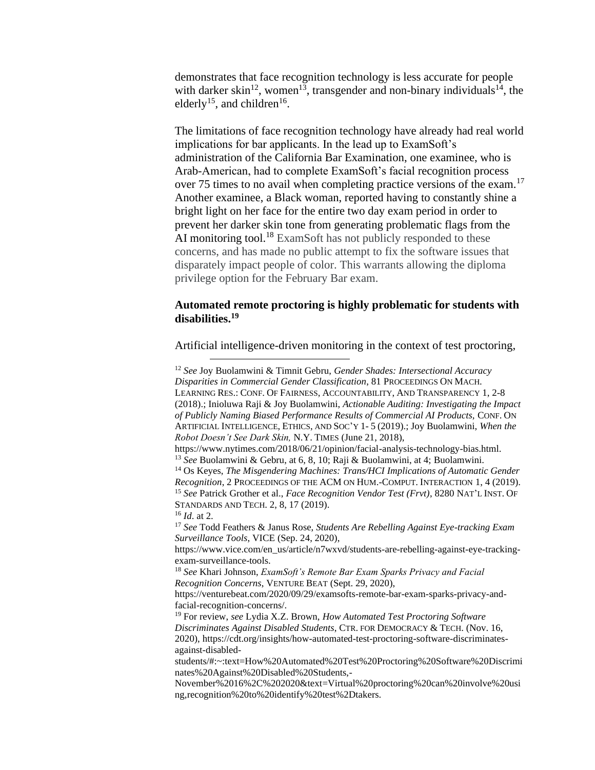demonstrates that face recognition technology is less accurate for people with darker skin<sup>12</sup>, women<sup>13</sup>, transgender and non-binary individuals<sup>14</sup>, the elderly<sup>15</sup>, and children<sup>16</sup>.

The limitations of face recognition technology have already had real world implications for bar applicants. In the lead up to ExamSoft's administration of the California Bar Examination, one examinee, who is Arab-American, had to complete ExamSoft's facial recognition process over 75 times to no avail when completing practice versions of the exam.<sup>17</sup> Another examinee, a Black woman, reported having to constantly shine a bright light on her face for the entire two day exam period in order to prevent her darker skin tone from generating problematic flags from the AI monitoring tool.<sup>18</sup> ExamSoft has not publicly responded to these concerns, and has made no public attempt to fix the software issues that disparately impact people of color. This warrants allowing the diploma privilege option for the February Bar exam.

## **Automated remote proctoring is highly problematic for students with disabilities.<sup>19</sup>**

Artificial intelligence-driven monitoring in the context of test proctoring,

<sup>12</sup> *See* Joy Buolamwini & Timnit Gebru, *Gender Shades: Intersectional Accuracy Disparities in Commercial Gender Classification*, 81 PROCEEDINGS ON MACH. LEARNING RES.: CONF. OF FAIRNESS, ACCOUNTABILITY, AND TRANSPARENCY 1, 2-8 (2018).; Inioluwa Raji & Joy Buolamwini, *Actionable Auditing: Investigating the Impact of Publicly Naming Biased Performance Results of Commercial AI Products,* CONF. ON ARTIFICIAL INTELLIGENCE, ETHICS, AND SOC'Y 1- 5 (2019).; Joy Buolamwini, *When the Robot Doesn't See Dark Skin,* N.Y. TIMES (June 21, 2018), https://www.nytimes.com/2018/06/21/opinion/facial-analysis-technology-bias.html. <sup>13</sup> *See* Buolamwini & Gebru, at 6, 8, 10; Raji & Buolamwini, at 4; Buolamwini. <sup>14</sup> Os Keyes, *The Misgendering Machines: Trans/HCI Implications of Automatic Gender Recognition*, 2 PROCEEDINGS OF THE ACM ON HUM.-COMPUT. INTERACTION 1, 4 (2019). <sup>15</sup> *See* Patrick Grother et al., *Face Recognition Vendor Test (Frvt)*, 8280 NAT'L INST. OF STANDARDS AND TECH. 2, 8, 17 (2019). <sup>16</sup> *Id*. at 2. <sup>17</sup> *See* Todd Feathers & Janus Rose, *Students Are Rebelling Against Eye-tracking Exam Surveillance Tools*, VICE (Sep. 24, 2020), https://www.vice.com/en\_us/article/n7wxvd/students-are-rebelling-against-eye-trackingexam-surveillance-tools. <sup>18</sup> *See* Khari Johnson, *ExamSoft's Remote Bar Exam Sparks Privacy and Facial Recognition Concerns*, VENTURE BEAT (Sept. 29, 2020), https://venturebeat.com/2020/09/29/examsofts-remote-bar-exam-sparks-privacy-andfacial-recognition-concerns/. <sup>19</sup> For review, *see* Lydia X.Z. Brown, *How Automated Test Proctoring Software Discriminates Against Disabled Students*, CTR. FOR DEMOCRACY & TECH. (Nov. 16, 2020), https://cdt.org/insights/how-automated-test-proctoring-software-discriminatesagainst-disabledstudents/#:~:text=How%20Automated%20Test%20Proctoring%20Software%20Discrimi nates%20Against%20Disabled%20Students,- November%2016%2C%202020&text=Virtual%20proctoring%20can%20involve%20usi ng,recognition%20to%20identify%20test%2Dtakers.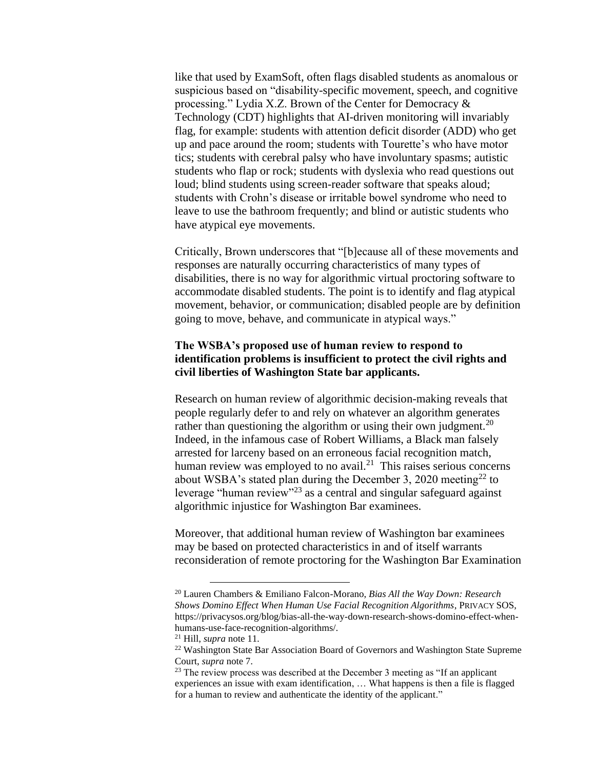like that used by ExamSoft, often flags disabled students as anomalous or suspicious based on "disability-specific movement, speech, and cognitive processing." Lydia X.Z. Brown of the Center for Democracy & Technology (CDT) highlights that AI-driven monitoring will invariably flag, for example: students with attention deficit disorder (ADD) who get up and pace around the room; students with Tourette's who have motor tics; students with cerebral palsy who have involuntary spasms; autistic students who flap or rock; students with dyslexia who read questions out loud; blind students using screen-reader software that speaks aloud; students with Crohn's disease or irritable bowel syndrome who need to leave to use the bathroom frequently; and blind or autistic students who have atypical eye movements.

Critically, Brown underscores that "[b]ecause all of these movements and responses are naturally occurring characteristics of many types of disabilities, there is no way for algorithmic virtual proctoring software to accommodate disabled students. The point is to identify and flag atypical movement, behavior, or communication; disabled people are by definition going to move, behave, and communicate in atypical ways."

# **The WSBA's proposed use of human review to respond to identification problems is insufficient to protect the civil rights and civil liberties of Washington State bar applicants.**

Research on human review of algorithmic decision-making reveals that people regularly defer to and rely on whatever an algorithm generates rather than questioning the algorithm or using their own judgment.<sup>20</sup> Indeed, in the infamous case of Robert Williams, a Black man falsely arrested for larceny based on an erroneous facial recognition match, human review was employed to no avail.<sup>21</sup> This raises serious concerns about WSBA's stated plan during the December 3, 2020 meeting<sup>22</sup> to leverage "human review"<sup>23</sup> as a central and singular safeguard against algorithmic injustice for Washington Bar examinees.

Moreover, that additional human review of Washington bar examinees may be based on protected characteristics in and of itself warrants reconsideration of remote proctoring for the Washington Bar Examination

<sup>21</sup> Hill, *supra* note 11.

<sup>20</sup> Lauren Chambers & Emiliano Falcon-Morano, *Bias All the Way Down: Research Shows Domino Effect When Human Use Facial Recognition Algorithms*, PRIVACY SOS, https://privacysos.org/blog/bias-all-the-way-down-research-shows-domino-effect-whenhumans-use-face-recognition-algorithms/.

<sup>22</sup> Washington State Bar Association Board of Governors and Washington State Supreme Court, *supra* note 7.

<sup>&</sup>lt;sup>23</sup> The review process was described at the December 3 meeting as "If an applicant experiences an issue with exam identification, … What happens is then a file is flagged for a human to review and authenticate the identity of the applicant."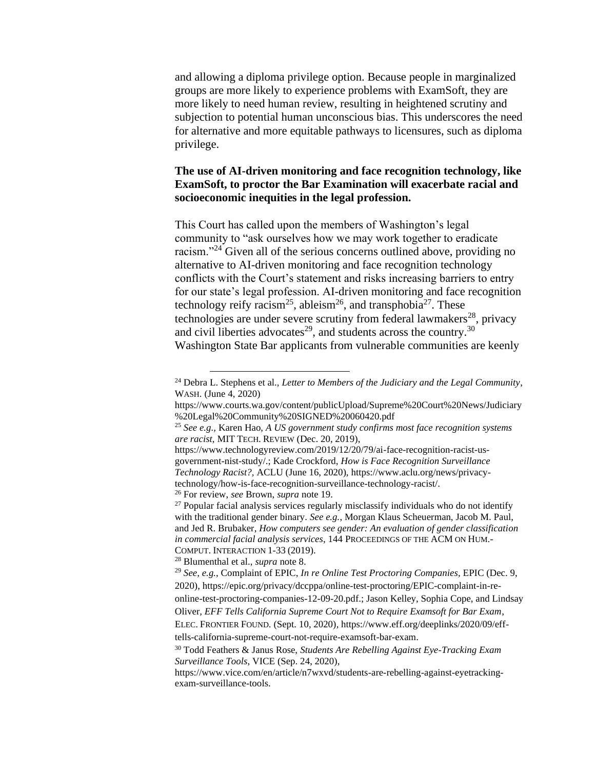and allowing a diploma privilege option. Because people in marginalized groups are more likely to experience problems with ExamSoft, they are more likely to need human review, resulting in heightened scrutiny and subjection to potential human unconscious bias. This underscores the need for alternative and more equitable pathways to licensures, such as diploma privilege.

# **The use of AI-driven monitoring and face recognition technology, like ExamSoft, to proctor the Bar Examination will exacerbate racial and socioeconomic inequities in the legal profession.**

This Court has called upon the members of Washington's legal community to "ask ourselves how we may work together to eradicate racism."<sup>24</sup> Given all of the serious concerns outlined above, providing no alternative to AI-driven monitoring and face recognition technology conflicts with the Court's statement and risks increasing barriers to entry for our state's legal profession. AI-driven monitoring and face recognition technology reify racism<sup>25</sup>, ableism<sup>26</sup>, and transphobia<sup>27</sup>. These technologies are under severe scrutiny from federal lawmakers<sup>28</sup>, privacy and civil liberties advocates<sup>29</sup>, and students across the country.<sup>30</sup> Washington State Bar applicants from vulnerable communities are keenly

<sup>26</sup> For review, *see* Brown, *supra* note 19.

<sup>28</sup> Blumenthal et al., *supra* note 8.

<sup>24</sup> Debra L. Stephens et al., *Letter to Members of the Judiciary and the Legal Community*, WASH. (June 4, 2020)

https://www.courts.wa.gov/content/publicUpload/Supreme%20Court%20News/Judiciary %20Legal%20Community%20SIGNED%20060420.pdf

<sup>25</sup> *See e.g.,* Karen Hao, *A US government study confirms most face recognition systems are racist*, MIT TECH. REVIEW (Dec. 20, 2019),

https://www.technologyreview.com/2019/12/20/79/ai-face-recognition-racist-usgovernment-nist-study/.; Kade Crockford, *How is Face Recognition Surveillance Technology Racist?,* ACLU (June 16, 2020), https://www.aclu.org/news/privacytechnology/how-is-face-recognition-surveillance-technology-racist/.

 $27$  Popular facial analysis services regularly misclassify individuals who do not identify with the traditional gender binary. *See e.g.*, Morgan Klaus Scheuerman, Jacob M. Paul, and Jed R. Brubaker, *How computers see gender: An evaluation of gender classification in commercial facial analysis services*, 144 PROCEEDINGS OF THE ACM ON HUM.- COMPUT. INTERACTION 1-33 (2019).

<sup>29</sup> *See, e.g.*, Complaint of EPIC, *In re Online Test Proctoring Companies,* EPIC (Dec. 9, 2020), https://epic.org/privacy/dccppa/online-test-proctoring/EPIC-complaint-in-reonline-test-proctoring-companies-12-09-20.pdf.; Jason Kelley, Sophia Cope, and Lindsay Oliver*, EFF Tells California Supreme Court Not to Require Examsoft for Bar Exam*, ELEC. FRONTIER FOUND. (Sept. 10, 2020), https://www.eff.org/deeplinks/2020/09/eff-

tells-california-supreme-court-not-require-examsoft-bar-exam.

<sup>30</sup> Todd Feathers & Janus Rose, *Students Are Rebelling Against Eye-Tracking Exam Surveillance Tools*, VICE (Sep. 24, 2020),

https://www.vice.com/en/article/n7wxvd/students-are-rebelling-against-eyetrackingexam-surveillance-tools.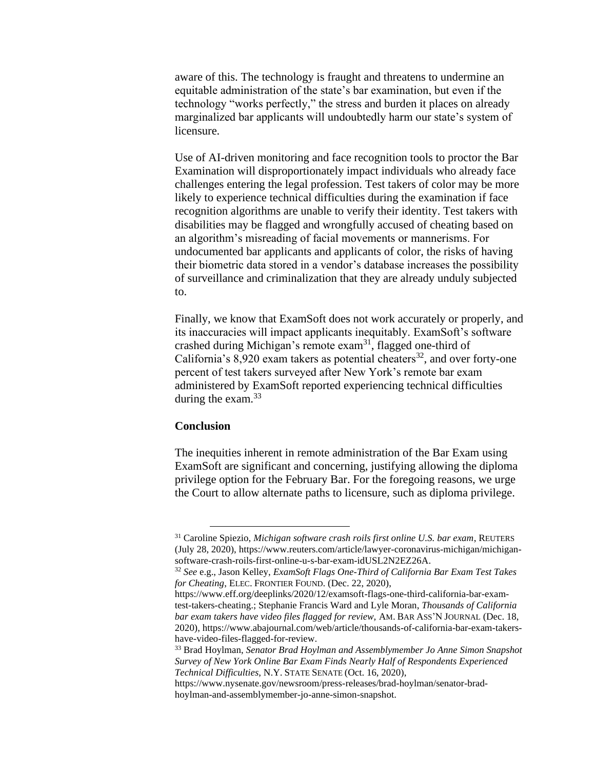aware of this. The technology is fraught and threatens to undermine an equitable administration of the state's bar examination, but even if the technology "works perfectly," the stress and burden it places on already marginalized bar applicants will undoubtedly harm our state's system of licensure.

Use of AI-driven monitoring and face recognition tools to proctor the Bar Examination will disproportionately impact individuals who already face challenges entering the legal profession. Test takers of color may be more likely to experience technical difficulties during the examination if face recognition algorithms are unable to verify their identity. Test takers with disabilities may be flagged and wrongfully accused of cheating based on an algorithm's misreading of facial movements or mannerisms. For undocumented bar applicants and applicants of color, the risks of having their biometric data stored in a vendor's database increases the possibility of surveillance and criminalization that they are already unduly subjected to.

Finally, we know that ExamSoft does not work accurately or properly, and its inaccuracies will impact applicants inequitably. ExamSoft's software crashed during Michigan's remote exam<sup>31</sup>, flagged one-third of California's  $8,920$  exam takers as potential cheaters<sup>32</sup>, and over forty-one percent of test takers surveyed after New York's remote bar exam administered by ExamSoft reported experiencing technical difficulties during the exam. $33$ 

#### **Conclusion**

The inequities inherent in remote administration of the Bar Exam using ExamSoft are significant and concerning, justifying allowing the diploma privilege option for the February Bar. For the foregoing reasons, we urge the Court to allow alternate paths to licensure, such as diploma privilege.

<sup>31</sup> Caroline Spiezio, *Michigan software crash roils first online U.S. bar exam*, REUTERS (July 28, 2020), https://www.reuters.com/article/lawyer-coronavirus-michigan/michigansoftware-crash-roils-first-online-u-s-bar-exam-idUSL2N2EZ26A.

<sup>32</sup> *See* e.g., Jason Kelley, *ExamSoft Flags One-Third of California Bar Exam Test Takes for Cheating*, ELEC. FRONTIER FOUND. (Dec. 22, 2020),

https://www.eff.org/deeplinks/2020/12/examsoft-flags-one-third-california-bar-examtest-takers-cheating.; Stephanie Francis Ward and Lyle Moran, *Thousands of California bar exam takers have video files flagged for review,* AM. BAR ASS'N JOURNAL (Dec. 18, 2020), https://www.abajournal.com/web/article/thousands-of-california-bar-exam-takershave-video-files-flagged-for-review.

<sup>33</sup> Brad Hoylman, *Senator Brad Hoylman and Assemblymember Jo Anne Simon Snapshot Survey of New York Online Bar Exam Finds Nearly Half of Respondents Experienced Technical Difficulties*, N.Y. STATE SENATE (Oct. 16, 2020),

https://www.nysenate.gov/newsroom/press-releases/brad-hoylman/senator-bradhoylman-and-assemblymember-jo-anne-simon-snapshot.